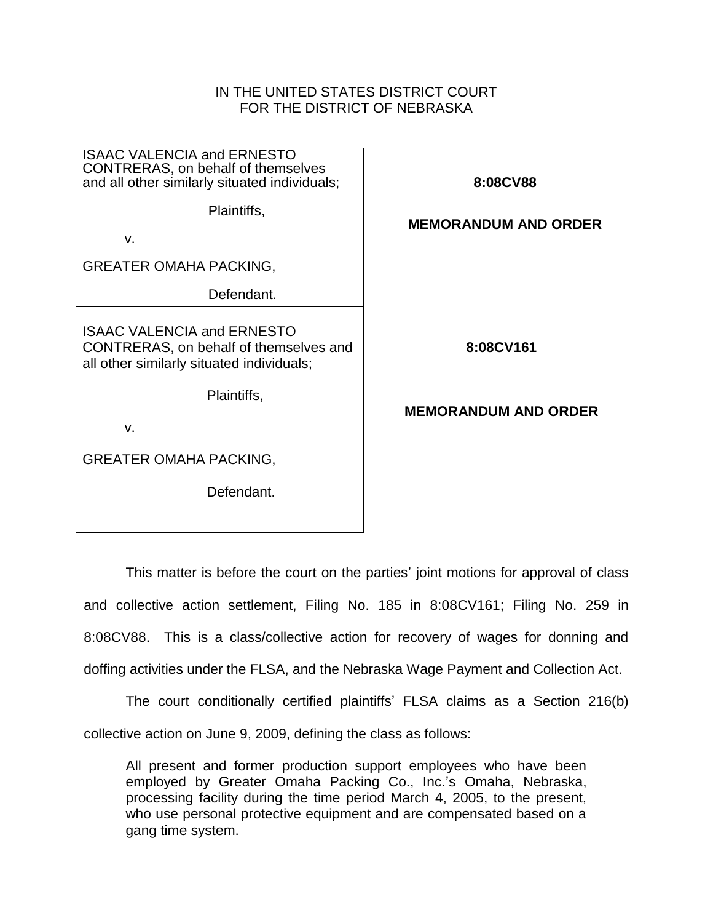## IN THE UNITED STATES DISTRICT COURT FOR THE DISTRICT OF NEBRASKA

| <b>ISAAC VALENCIA and ERNESTO</b><br>CONTRERAS, on behalf of themselves<br>and all other similarly situated individuals; | 8:08CV88                    |
|--------------------------------------------------------------------------------------------------------------------------|-----------------------------|
| Plaintiffs,<br>v.                                                                                                        | <b>MEMORANDUM AND ORDER</b> |
| <b>GREATER OMAHA PACKING,</b>                                                                                            |                             |
| Defendant.                                                                                                               |                             |
| <b>ISAAC VALENCIA and ERNESTO</b><br>CONTRERAS, on behalf of themselves and<br>all other similarly situated individuals; | 8:08CV161                   |
| Plaintiffs,                                                                                                              |                             |
| V.                                                                                                                       | <b>MEMORANDUM AND ORDER</b> |
| <b>GREATER OMAHA PACKING,</b>                                                                                            |                             |

Defendant.

This matter is before the court on the parties' joint motions for approval of class and collective action settlement, Filing No. 185 in 8:08CV161; Filing No. 259 in 8:08CV88. This is a class/collective action for recovery of wages for donning and doffing activities under the FLSA, and the Nebraska Wage Payment and Collection Act.

The court conditionally certified plaintiffs' FLSA claims as a Section 216(b) collective action on June 9, 2009, defining the class as follows:

All present and former production support employees who have been employed by Greater Omaha Packing Co., Inc.'s Omaha, Nebraska, processing facility during the time period March 4, 2005, to the present, who use personal protective equipment and are compensated based on a gang time system.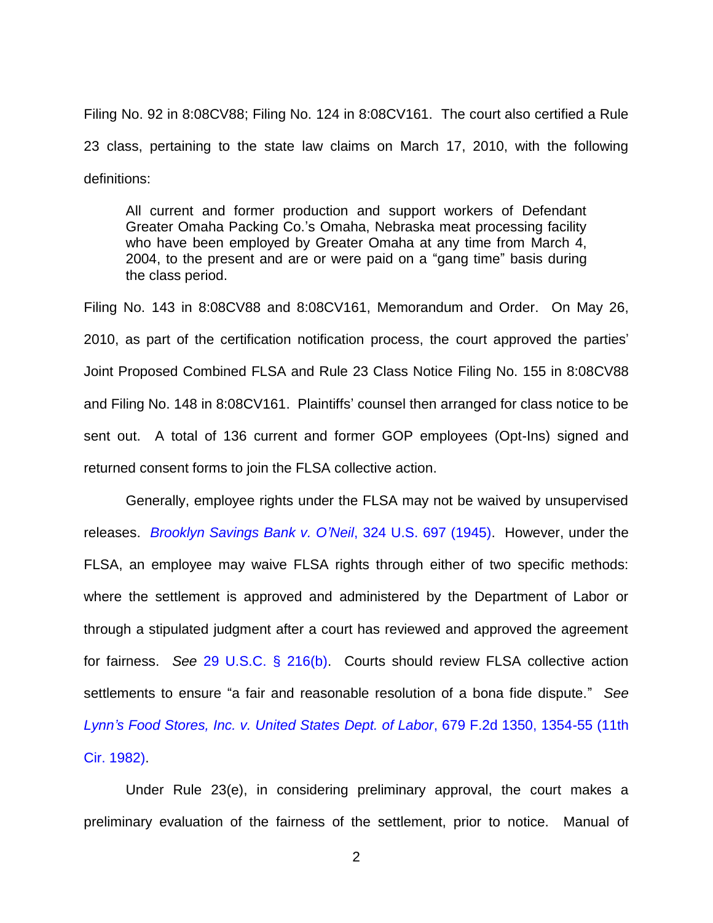Filing No. 92 in 8:08CV88; Filing No. 124 in 8:08CV161. The court also certified a Rule 23 class, pertaining to the state law claims on March 17, 2010, with the following definitions:

All current and former production and support workers of Defendant Greater Omaha Packing Co.'s Omaha, Nebraska meat processing facility who have been employed by Greater Omaha at any time from March 4, 2004, to the present and are or were paid on a "gang time" basis during the class period.

Filing No. 143 in 8:08CV88 and 8:08CV161, Memorandum and Order. On May 26, 2010, as part of the certification notification process, the court approved the parties' Joint Proposed Combined FLSA and Rule 23 Class Notice Filing No. 155 in 8:08CV88 and Filing No. 148 in 8:08CV161. Plaintiffs' counsel then arranged for class notice to be sent out. A total of 136 current and former GOP employees (Opt-Ins) signed and returned consent forms to join the FLSA collective action.

Generally, employee rights under the FLSA may not be waived by unsupervised releases. *[Brooklyn Savings Bank v. O'Neil](http://westlaw.com/find/default.wl?ft=Y&db=0000780&rs=btil2.0&rp=%2ffind%2fdefault.wl&serialnum=1945117445&fn=_top&findtype=Y&vr=2.0&wbtoolsId=1945117445&HistoryType=F)*, 324 U.S. 697 (1945). However, under the FLSA, an employee may waive FLSA rights through either of two specific methods: where the settlement is approved and administered by the Department of Labor or through a stipulated judgment after a court has reviewed and approved the agreement for fairness. *See* [29 U.S.C. § 216\(b\).](http://westlaw.com/find/default.wl?ft=L&docname=29USCAS216&rs=btil2.0&rp=%2ffind%2fdefault.wl&fn=_top&findtype=L&vr=2.0&db=1000546&wbtoolsId=29USCAS216&HistoryType=F) Courts should review FLSA collective action settlements to ensure "a fair and reasonable resolution of a bona fide dispute." *See [Lynn's Food Stores, Inc. v. United States](http://westlaw.com/find/default.wl?ft=Y&referencepositiontype=S&rs=btil2.0&rp=%2ffind%2fdefault.wl&serialnum=1982127275&fn=_top&referenceposition=1354&findtype=Y&vr=2.0&db=0000350&wbtoolsId=1982127275&HistoryType=F) Dept. of Labor*, 679 F.2d 1350, 1354-55 (11th [Cir. 1982\).](http://westlaw.com/find/default.wl?ft=Y&referencepositiontype=S&rs=btil2.0&rp=%2ffind%2fdefault.wl&serialnum=1982127275&fn=_top&referenceposition=1354&findtype=Y&vr=2.0&db=0000350&wbtoolsId=1982127275&HistoryType=F)

Under Rule 23(e), in considering preliminary approval, the court makes a preliminary evaluation of the fairness of the settlement, prior to notice. Manual of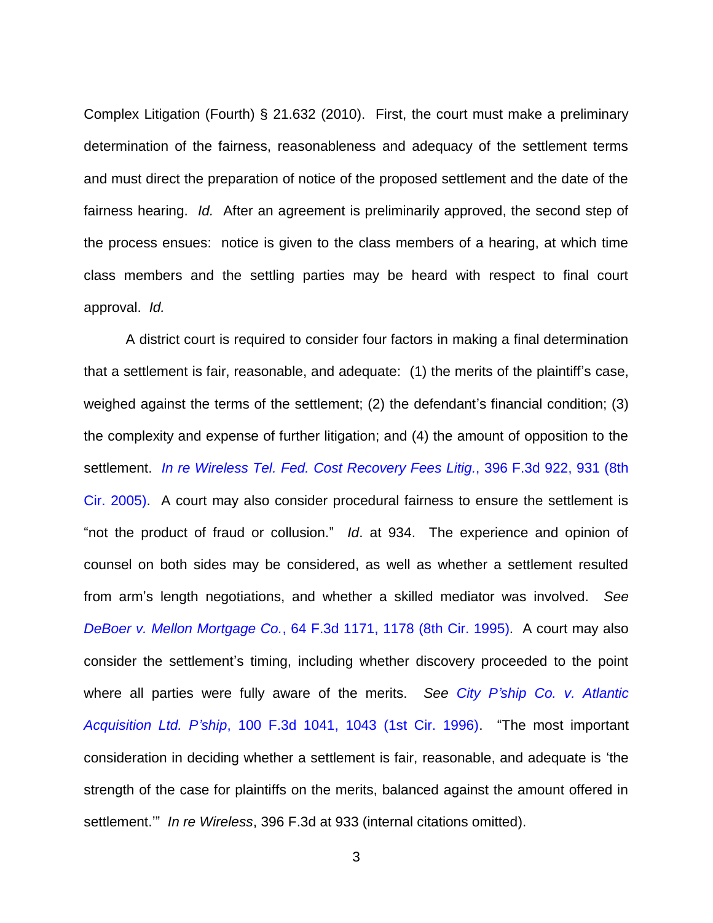Complex Litigation (Fourth) § 21.632 (2010). First, the court must make a preliminary determination of the fairness, reasonableness and adequacy of the settlement terms and must direct the preparation of notice of the proposed settlement and the date of the fairness hearing. *Id.* After an agreement is preliminarily approved, the second step of the process ensues: notice is given to the class members of a hearing, at which time class members and the settling parties may be heard with respect to final court approval. *Id.*

A district court is required to consider four factors in making a final determination that a settlement is fair, reasonable, and adequate: (1) the merits of the plaintiff's case, weighed against the terms of the settlement; (2) the defendant's financial condition; (3) the complexity and expense of further litigation; and (4) the amount of opposition to the settlement. *In re Wireless Tel. [Fed. Cost Recovery Fees Litig.](http://westlaw.com/find/default.wl?ft=Y&referencepositiontype=S&rs=btil2.0&rp=%2ffind%2fdefault.wl&serialnum=2006147069&fn=_top&referenceposition=931&findtype=Y&vr=2.0&db=0000506&wbtoolsId=2006147069&HistoryType=F)*, 396 F.3d 922, 931 (8th [Cir. 2005\).](http://westlaw.com/find/default.wl?ft=Y&referencepositiontype=S&rs=btil2.0&rp=%2ffind%2fdefault.wl&serialnum=2006147069&fn=_top&referenceposition=931&findtype=Y&vr=2.0&db=0000506&wbtoolsId=2006147069&HistoryType=F) A court may also consider procedural fairness to ensure the settlement is "not the product of fraud or collusion." *Id*. at 934. The experience and opinion of counsel on both sides may be considered, as well as whether a settlement resulted from arm's length negotiations, and whether a skilled mediator was involved. *See DeBoer v. Mellon Mortgage Co.*[, 64 F.3d 1171, 1178 \(8th Cir. 1995\).](http://westlaw.com/find/default.wl?ft=Y&referencepositiontype=S&rs=btil2.0&rp=%2ffind%2fdefault.wl&serialnum=1995177494&fn=_top&referenceposition=1178&findtype=Y&vr=2.0&db=0000506&wbtoolsId=1995177494&HistoryType=F) A court may also consider the settlement's timing, including whether discovery proceeded to the point where all parties were fully aware of the merits. *See [City P'ship Co. v. Atlantic](http://westlaw.com/find/default.wl?ft=Y&referencepositiontype=S&rs=btil2.0&rp=%2ffind%2fdefault.wl&serialnum=1996260376&fn=_top&referenceposition=1043&findtype=Y&vr=2.0&db=0000506&wbtoolsId=1996260376&HistoryType=F)  Acquisition Ltd. P'ship*[, 100 F.3d 1041, 1043 \(1st Cir. 1996\).](http://westlaw.com/find/default.wl?ft=Y&referencepositiontype=S&rs=btil2.0&rp=%2ffind%2fdefault.wl&serialnum=1996260376&fn=_top&referenceposition=1043&findtype=Y&vr=2.0&db=0000506&wbtoolsId=1996260376&HistoryType=F) "The most important consideration in deciding whether a settlement is fair, reasonable, and adequate is 'the strength of the case for plaintiffs on the merits, balanced against the amount offered in settlement.'" *In re Wireless*, 396 F.3d at 933 (internal citations omitted).

3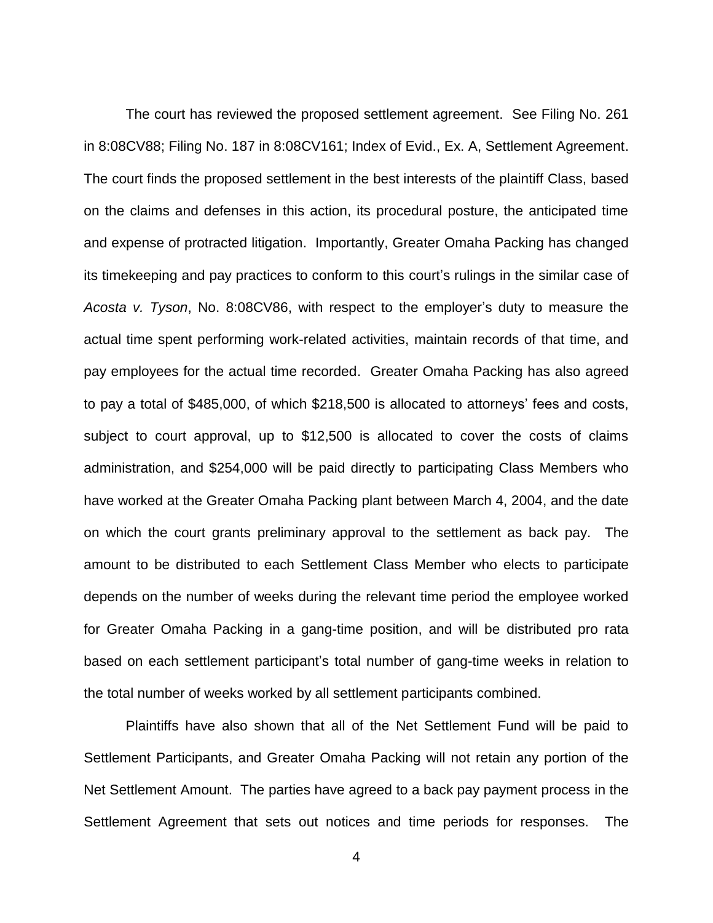The court has reviewed the proposed settlement agreement. See Filing No. 261 in 8:08CV88; Filing No. 187 in 8:08CV161; Index of Evid., Ex. A, Settlement Agreement. The court finds the proposed settlement in the best interests of the plaintiff Class, based on the claims and defenses in this action, its procedural posture, the anticipated time and expense of protracted litigation. Importantly, Greater Omaha Packing has changed its timekeeping and pay practices to conform to this court's rulings in the similar case of *Acosta v. Tyson*, No. 8:08CV86, with respect to the employer's duty to measure the actual time spent performing work-related activities, maintain records of that time, and pay employees for the actual time recorded. Greater Omaha Packing has also agreed to pay a total of \$485,000, of which \$218,500 is allocated to attorneys' fees and costs, subject to court approval, up to \$12,500 is allocated to cover the costs of claims administration, and \$254,000 will be paid directly to participating Class Members who have worked at the Greater Omaha Packing plant between March 4, 2004, and the date on which the court grants preliminary approval to the settlement as back pay. The amount to be distributed to each Settlement Class Member who elects to participate depends on the number of weeks during the relevant time period the employee worked for Greater Omaha Packing in a gang-time position, and will be distributed pro rata based on each settlement participant's total number of gang-time weeks in relation to the total number of weeks worked by all settlement participants combined.

Plaintiffs have also shown that all of the Net Settlement Fund will be paid to Settlement Participants, and Greater Omaha Packing will not retain any portion of the Net Settlement Amount. The parties have agreed to a back pay payment process in the Settlement Agreement that sets out notices and time periods for responses. The

4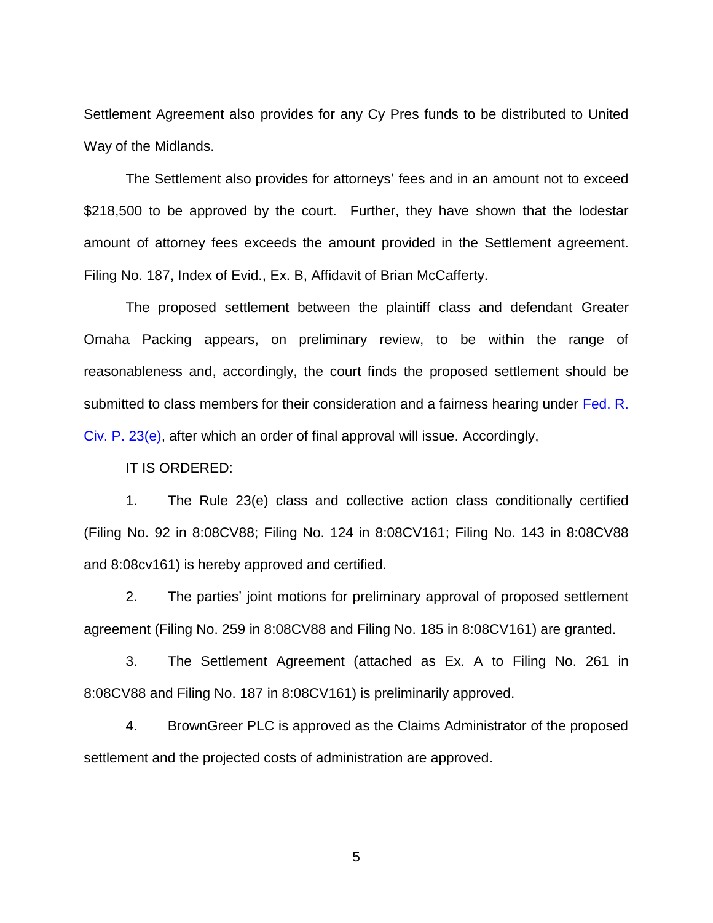Settlement Agreement also provides for any Cy Pres funds to be distributed to United Way of the Midlands.

The Settlement also provides for attorneys' fees and in an amount not to exceed \$218,500 to be approved by the court. Further, they have shown that the lodestar amount of attorney fees exceeds the amount provided in the Settlement agreement. Filing No. 187, Index of Evid., Ex. B, Affidavit of Brian McCafferty.

The proposed settlement between the plaintiff class and defendant Greater Omaha Packing appears, on preliminary review, to be within the range of reasonableness and, accordingly, the court finds the proposed settlement should be submitted to class members for their consideration and a fairness hearing under Fed. R. [Civ. P. 23\(e\),](http://westlaw.com/find/default.wl?ft=L&docname=USFRCPR23&rs=btil2.0&rp=%2ffind%2fdefault.wl&fn=_top&findtype=L&vr=2.0&db=1000600&wbtoolsId=USFRCPR23&HistoryType=F) after which an order of final approval will issue. Accordingly,

IT IS ORDERED:

1. The Rule 23(e) class and collective action class conditionally certified (Filing No. 92 in 8:08CV88; Filing No. 124 in 8:08CV161; Filing No. 143 in 8:08CV88 and 8:08cv161) is hereby approved and certified.

2. The parties' joint motions for preliminary approval of proposed settlement agreement (Filing No. 259 in 8:08CV88 and Filing No. 185 in 8:08CV161) are granted.

3. The Settlement Agreement (attached as Ex. A to Filing No. 261 in 8:08CV88 and Filing No. 187 in 8:08CV161) is preliminarily approved.

4. BrownGreer PLC is approved as the Claims Administrator of the proposed settlement and the projected costs of administration are approved.

5